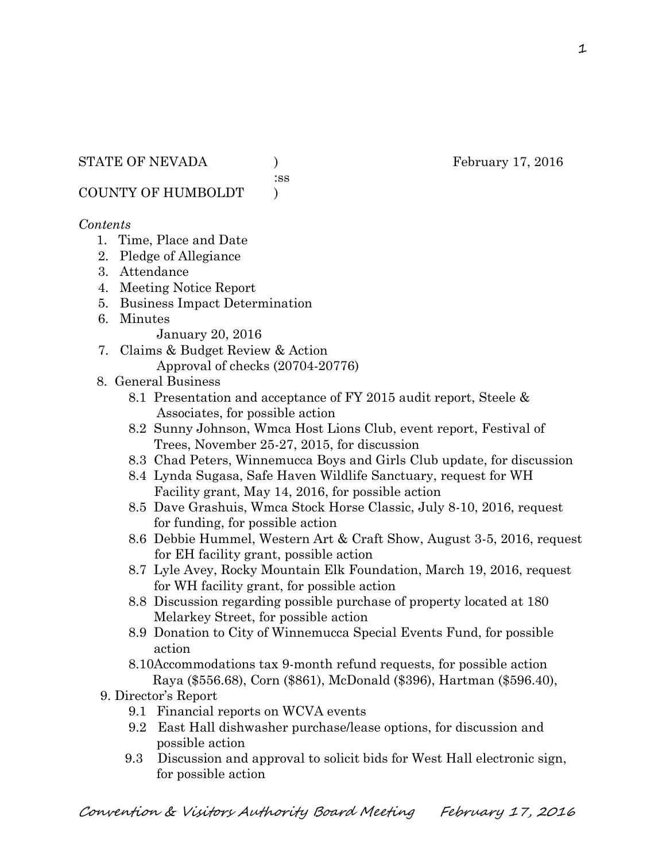:ss

COUNTY OF HUMBOLDT )

### *Contents*

- 1. Time, Place and Date
- 2. Pledge of Allegiance
- 3. Attendance
- 4. Meeting Notice Report
- 5. Business Impact Determination
- 6. Minutes

January 20, 2016

7. Claims & Budget Review & Action Approval of checks (20704-20776)

### 8. General Business

- 8.1 Presentation and acceptance of FY 2015 audit report, Steele & Associates, for possible action
- 8.2 Sunny Johnson, Wmca Host Lions Club, event report, Festival of Trees, November 25-27, 2015, for discussion
- 8.3 Chad Peters, Winnemucca Boys and Girls Club update, for discussion
- 8.4 Lynda Sugasa, Safe Haven Wildlife Sanctuary, request for WH Facility grant, May 14, 2016, for possible action
- 8.5 Dave Grashuis, Wmca Stock Horse Classic, July 8-10, 2016, request for funding, for possible action
- 8.6 Debbie Hummel, Western Art & Craft Show, August 3-5, 2016, request for EH facility grant, possible action
- 8.7 Lyle Avey, Rocky Mountain Elk Foundation, March 19, 2016, request for WH facility grant, for possible action
- 8.8 Discussion regarding possible purchase of property located at 180 Melarkey Street, for possible action
- 8.9 Donation to City of Winnemucca Special Events Fund, for possible action
- 8.10Accommodations tax 9-month refund requests, for possible action Raya (\$556.68), Corn (\$861), McDonald (\$396), Hartman (\$596.40),
- 9. Director's Report
	- 9.1 Financial reports on WCVA events
	- 9.2 East Hall dishwasher purchase/lease options, for discussion and possible action
	- 9.3 Discussion and approval to solicit bids for West Hall electronic sign, for possible action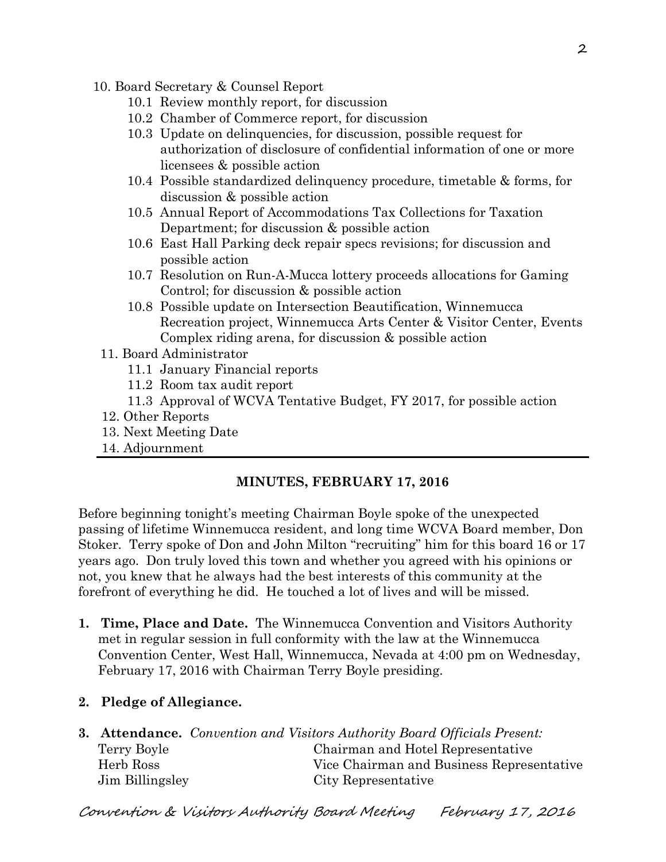- 10. Board Secretary & Counsel Report
	- 10.1 Review monthly report, for discussion
	- 10.2 Chamber of Commerce report, for discussion
	- 10.3 Update on delinquencies, for discussion, possible request for authorization of disclosure of confidential information of one or more licensees & possible action
	- 10.4 Possible standardized delinquency procedure, timetable & forms, for discussion & possible action
	- 10.5 Annual Report of Accommodations Tax Collections for Taxation Department; for discussion & possible action
	- 10.6 East Hall Parking deck repair specs revisions; for discussion and possible action
	- 10.7 Resolution on Run-A-Mucca lottery proceeds allocations for Gaming Control; for discussion & possible action
	- 10.8 Possible update on Intersection Beautification, Winnemucca Recreation project, Winnemucca Arts Center & Visitor Center, Events Complex riding arena, for discussion & possible action
	- 11. Board Administrator
		- 11.1 January Financial reports
		- 11.2 Room tax audit report
		- 11.3 Approval of WCVA Tentative Budget, FY 2017, for possible action
	- 12. Other Reports
	- 13. Next Meeting Date
	- 14. Adjournment

# **MINUTES, FEBRUARY 17, 2016**

Before beginning tonight's meeting Chairman Boyle spoke of the unexpected passing of lifetime Winnemucca resident, and long time WCVA Board member, Don Stoker. Terry spoke of Don and John Milton "recruiting" him for this board 16 or 17 years ago. Don truly loved this town and whether you agreed with his opinions or not, you knew that he always had the best interests of this community at the forefront of everything he did. He touched a lot of lives and will be missed.

- **1. Time, Place and Date.** The Winnemucca Convention and Visitors Authority met in regular session in full conformity with the law at the Winnemucca Convention Center, West Hall, Winnemucca, Nevada at 4:00 pm on Wednesday, February 17, 2016 with Chairman Terry Boyle presiding.
- **2. Pledge of Allegiance.**

|                 | <b>3. Attendance.</b> Convention and Visitors Authority Board Officials Present: |
|-----------------|----------------------------------------------------------------------------------|
| Terry Boyle     | Chairman and Hotel Representative                                                |
| Herb Ross       | Vice Chairman and Business Representative                                        |
| Jim Billingsley | City Representative                                                              |

Convention & Visitors Authority Board Meeting February 17, 2016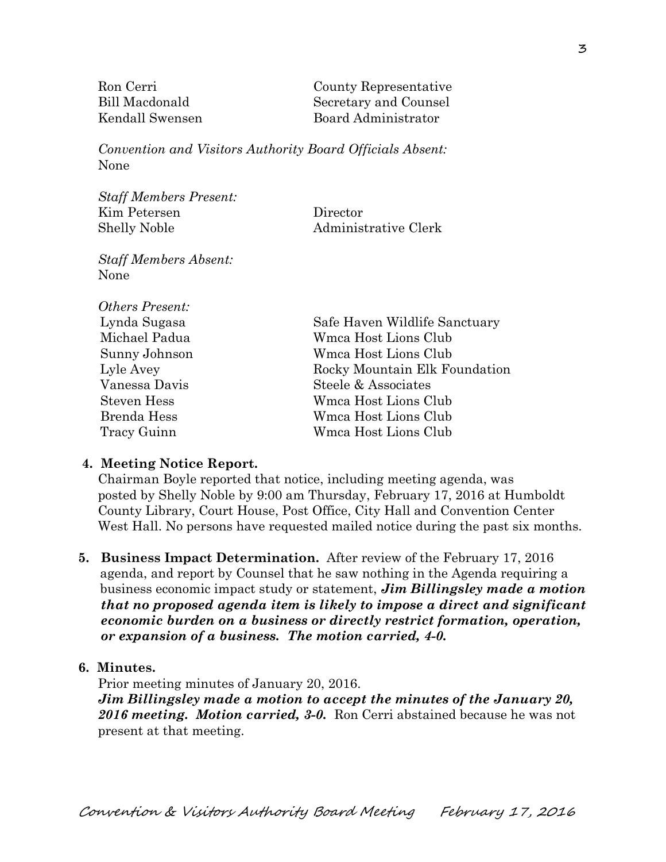| Ron Cerri       | County Representative |
|-----------------|-----------------------|
| Bill Macdonald  | Secretary and Counsel |
| Kendall Swensen | Board Administrator   |

*Convention and Visitors Authority Board Officials Absent:*  None

*Staff Members Present:*  Kim Petersen Director Shelly Noble Administrative Clerk

*Staff Members Absent:*  None

| <b>Others Present:</b> |                               |
|------------------------|-------------------------------|
| Lynda Sugasa           | Safe Haven Wildlife Sanctuary |
| Michael Padua          | Wmca Host Lions Club          |
| Sunny Johnson          | Wmca Host Lions Club          |
| Lyle Avey              | Rocky Mountain Elk Foundation |
| Vanessa Davis          | Steele & Associates           |
| <b>Steven Hess</b>     | Wmca Host Lions Club          |
| Brenda Hess            | Wmca Host Lions Club          |
| Tracy Guinn            | Wmca Host Lions Club          |

#### **4. Meeting Notice Report.**

Chairman Boyle reported that notice, including meeting agenda, was posted by Shelly Noble by 9:00 am Thursday, February 17, 2016 at Humboldt County Library, Court House, Post Office, City Hall and Convention Center West Hall. No persons have requested mailed notice during the past six months.

**5. Business Impact Determination.** After review of the February 17, 2016 agenda, and report by Counsel that he saw nothing in the Agenda requiring a business economic impact study or statement, *Jim Billingsley made a motion that no proposed agenda item is likely to impose a direct and significant economic burden on a business or directly restrict formation, operation, or expansion of a business. The motion carried, 4-0.* 

#### **6. Minutes.**

Prior meeting minutes of January 20, 2016.

*Jim Billingsley made a motion to accept the minutes of the January 20, 2016 meeting. Motion carried, 3-0.* Ron Cerri abstained because he was not present at that meeting.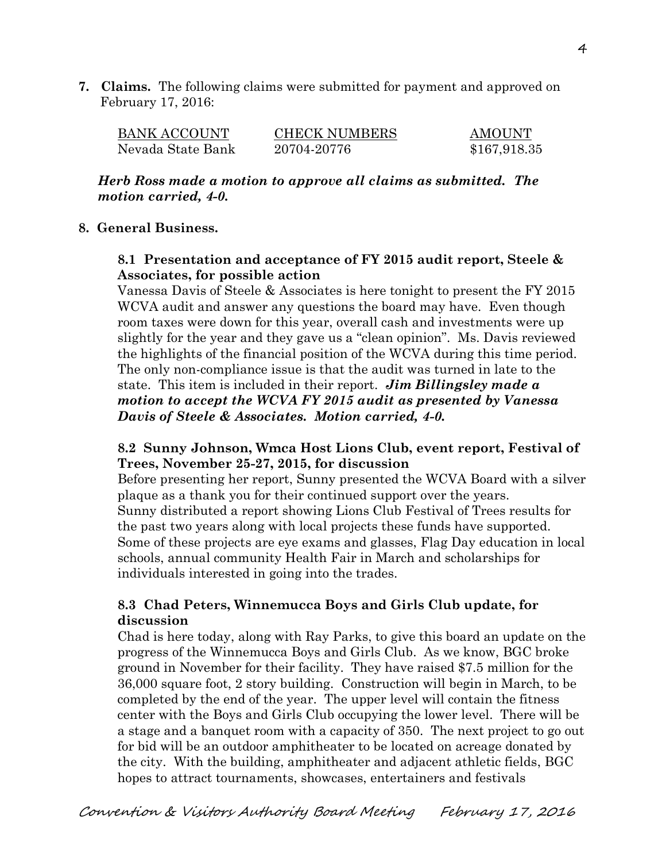**7. Claims.** The following claims were submitted for payment and approved on February 17, 2016:

| BANK ACCOUNT      | <b>CHECK NUMBERS</b> | <b>AMOUNT</b> |
|-------------------|----------------------|---------------|
| Nevada State Bank | 20704-20776          | \$167,918.35  |

*Herb Ross made a motion to approve all claims as submitted. The motion carried, 4-0.* 

#### **8. General Business.**

## **8.1 Presentation and acceptance of FY 2015 audit report, Steele & Associates, for possible action**

Vanessa Davis of Steele & Associates is here tonight to present the FY 2015 WCVA audit and answer any questions the board may have. Even though room taxes were down for this year, overall cash and investments were up slightly for the year and they gave us a "clean opinion". Ms. Davis reviewed the highlights of the financial position of the WCVA during this time period. The only non-compliance issue is that the audit was turned in late to the state. This item is included in their report. *Jim Billingsley made a motion to accept the WCVA FY 2015 audit as presented by Vanessa Davis of Steele & Associates. Motion carried, 4-0.*

#### **8.2 Sunny Johnson, Wmca Host Lions Club, event report, Festival of Trees, November 25-27, 2015, for discussion**

Before presenting her report, Sunny presented the WCVA Board with a silver plaque as a thank you for their continued support over the years. Sunny distributed a report showing Lions Club Festival of Trees results for the past two years along with local projects these funds have supported. Some of these projects are eye exams and glasses, Flag Day education in local schools, annual community Health Fair in March and scholarships for individuals interested in going into the trades.

# **8.3 Chad Peters, Winnemucca Boys and Girls Club update, for discussion**

 Chad is here today, along with Ray Parks, to give this board an update on the progress of the Winnemucca Boys and Girls Club. As we know, BGC broke ground in November for their facility. They have raised \$7.5 million for the 36,000 square foot, 2 story building. Construction will begin in March, to be completed by the end of the year. The upper level will contain the fitness center with the Boys and Girls Club occupying the lower level. There will be a stage and a banquet room with a capacity of 350. The next project to go out for bid will be an outdoor amphitheater to be located on acreage donated by the city. With the building, amphitheater and adjacent athletic fields, BGC hopes to attract tournaments, showcases, entertainers and festivals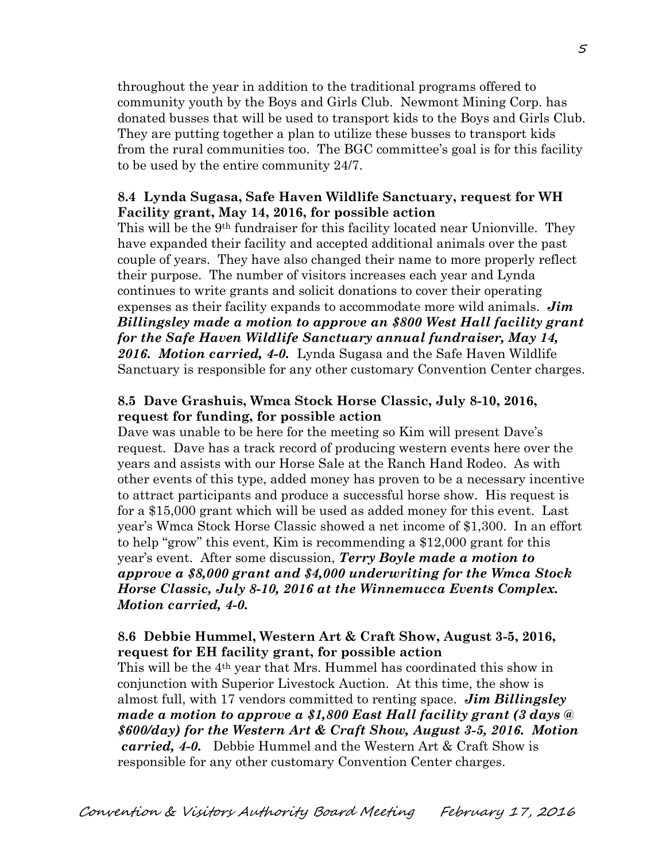throughout the year in addition to the traditional programs offered to community youth by the Boys and Girls Club. Newmont Mining Corp. has donated busses that will be used to transport kids to the Boys and Girls Club. They are putting together a plan to utilize these busses to transport kids from the rural communities too. The BGC committee's goal is for this facility to be used by the entire community 24/7.

#### **8.4 Lynda Sugasa, Safe Haven Wildlife Sanctuary, request for WH Facility grant, May 14, 2016, for possible action**

This will be the 9th fundraiser for this facility located near Unionville. They have expanded their facility and accepted additional animals over the past couple of years. They have also changed their name to more properly reflect their purpose. The number of visitors increases each year and Lynda continues to write grants and solicit donations to cover their operating expenses as their facility expands to accommodate more wild animals. *Jim Billingsley made a motion to approve an \$800 West Hall facility grant for the Safe Haven Wildlife Sanctuary annual fundraiser, May 14, 2016. Motion carried, 4-0.* Lynda Sugasa and the Safe Haven Wildlife Sanctuary is responsible for any other customary Convention Center charges.

### **8.5 Dave Grashuis, Wmca Stock Horse Classic, July 8-10, 2016, request for funding, for possible action**

Dave was unable to be here for the meeting so Kim will present Dave's request. Dave has a track record of producing western events here over the years and assists with our Horse Sale at the Ranch Hand Rodeo. As with other events of this type, added money has proven to be a necessary incentive to attract participants and produce a successful horse show. His request is for a \$15,000 grant which will be used as added money for this event. Last year's Wmca Stock Horse Classic showed a net income of \$1,300. In an effort to help "grow" this event, Kim is recommending a \$12,000 grant for this year's event. After some discussion, *Terry Boyle made a motion to approve a \$8,000 grant and \$4,000 underwriting for the Wmca Stock Horse Classic, July 8-10, 2016 at the Winnemucca Events Complex. Motion carried, 4-0.* 

### **8.6 Debbie Hummel, Western Art & Craft Show, August 3-5, 2016, request for EH facility grant, for possible action**

This will be the 4th year that Mrs. Hummel has coordinated this show in conjunction with Superior Livestock Auction. At this time, the show is almost full, with 17 vendors committed to renting space. *Jim Billingsley made a motion to approve a \$1,800 East Hall facility grant (3 days @ \$600/day) for the Western Art & Craft Show, August 3-5, 2016. Motion carried, 4-0.* Debbie Hummel and the Western Art & Craft Show is responsible for any other customary Convention Center charges.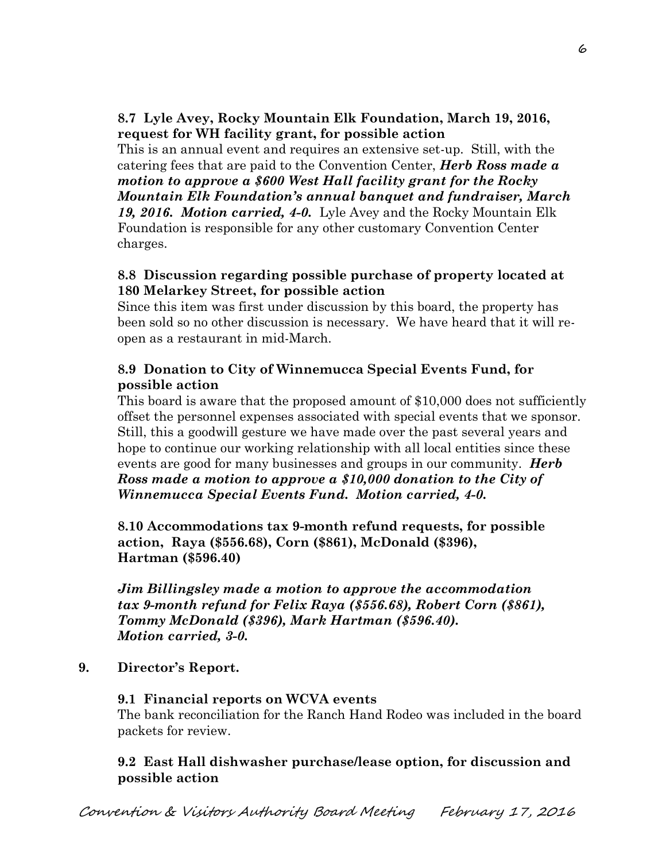# **8.7 Lyle Avey, Rocky Mountain Elk Foundation, March 19, 2016, request for WH facility grant, for possible action**

This is an annual event and requires an extensive set-up. Still, with the catering fees that are paid to the Convention Center, *Herb Ross made a motion to approve a \$600 West Hall facility grant for the Rocky Mountain Elk Foundation's annual banquet and fundraiser, March 19, 2016. Motion carried, 4-0.* Lyle Avey and the Rocky Mountain Elk Foundation is responsible for any other customary Convention Center

charges.

#### **8.8 Discussion regarding possible purchase of property located at 180 Melarkey Street, for possible action**

Since this item was first under discussion by this board, the property has been sold so no other discussion is necessary. We have heard that it will reopen as a restaurant in mid-March.

# **8.9 Donation to City of Winnemucca Special Events Fund, for possible action**

This board is aware that the proposed amount of \$10,000 does not sufficiently offset the personnel expenses associated with special events that we sponsor. Still, this a goodwill gesture we have made over the past several years and hope to continue our working relationship with all local entities since these events are good for many businesses and groups in our community. *Herb Ross made a motion to approve a \$10,000 donation to the City of Winnemucca Special Events Fund. Motion carried, 4-0.* 

**8.10 Accommodations tax 9-month refund requests, for possible action, Raya (\$556.68), Corn (\$861), McDonald (\$396), Hartman (\$596.40)** 

*Jim Billingsley made a motion to approve the accommodation tax 9-month refund for Felix Raya (\$556.68), Robert Corn (\$861), Tommy McDonald (\$396), Mark Hartman (\$596.40). Motion carried, 3-0.*

**9. Director's Report.** 

# **9.1 Financial reports on WCVA events**

The bank reconciliation for the Ranch Hand Rodeo was included in the board packets for review.

# **9.2 East Hall dishwasher purchase/lease option, for discussion and possible action**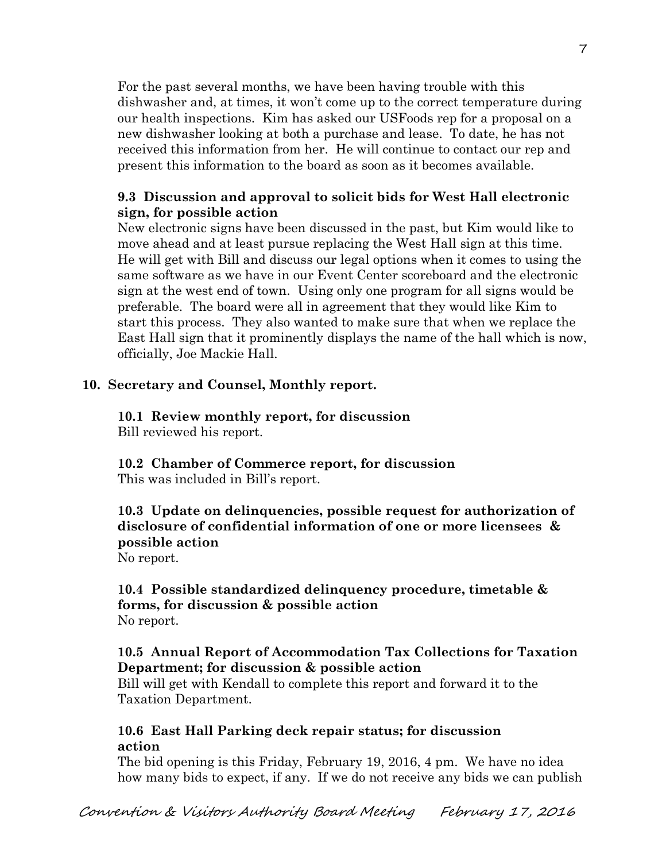For the past several months, we have been having trouble with this dishwasher and, at times, it won't come up to the correct temperature during our health inspections. Kim has asked our USFoods rep for a proposal on a new dishwasher looking at both a purchase and lease. To date, he has not received this information from her. He will continue to contact our rep and present this information to the board as soon as it becomes available.

# **9.3 Discussion and approval to solicit bids for West Hall electronic sign, for possible action**

New electronic signs have been discussed in the past, but Kim would like to move ahead and at least pursue replacing the West Hall sign at this time. He will get with Bill and discuss our legal options when it comes to using the same software as we have in our Event Center scoreboard and the electronic sign at the west end of town. Using only one program for all signs would be preferable. The board were all in agreement that they would like Kim to start this process. They also wanted to make sure that when we replace the East Hall sign that it prominently displays the name of the hall which is now, officially, Joe Mackie Hall.

# **10. Secretary and Counsel, Monthly report.**

#### **10.1 Review monthly report, for discussion**  Bill reviewed his report.

**10.2 Chamber of Commerce report, for discussion**  This was included in Bill's report.

# **10.3 Update on delinquencies, possible request for authorization of disclosure of confidential information of one or more licensees & possible action**

No report.

### **10.4 Possible standardized delinquency procedure, timetable & forms, for discussion & possible action**  No report.

# **10.5 Annual Report of Accommodation Tax Collections for Taxation Department; for discussion & possible action**

Bill will get with Kendall to complete this report and forward it to the Taxation Department.

# **10.6 East Hall Parking deck repair status; for discussion action**

The bid opening is this Friday, February 19, 2016, 4 pm. We have no idea how many bids to expect, if any. If we do not receive any bids we can publish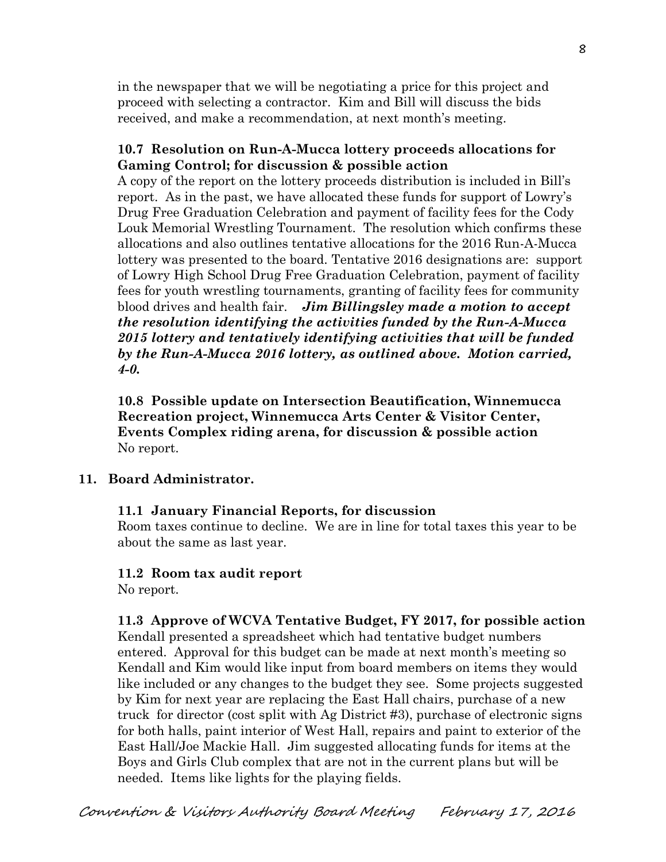in the newspaper that we will be negotiating a price for this project and proceed with selecting a contractor. Kim and Bill will discuss the bids received, and make a recommendation, at next month's meeting.

#### **10.7 Resolution on Run-A-Mucca lottery proceeds allocations for Gaming Control; for discussion & possible action**

A copy of the report on the lottery proceeds distribution is included in Bill's report. As in the past, we have allocated these funds for support of Lowry's Drug Free Graduation Celebration and payment of facility fees for the Cody Louk Memorial Wrestling Tournament. The resolution which confirms these allocations and also outlines tentative allocations for the 2016 Run-A-Mucca lottery was presented to the board. Tentative 2016 designations are: support of Lowry High School Drug Free Graduation Celebration, payment of facility fees for youth wrestling tournaments, granting of facility fees for community blood drives and health fair. *Jim Billingsley made a motion to accept the resolution identifying the activities funded by the Run-A-Mucca 2015 lottery and tentatively identifying activities that will be funded by the Run-A-Mucca 2016 lottery, as outlined above. Motion carried, 4-0.* 

**10.8 Possible update on Intersection Beautification, Winnemucca Recreation project, Winnemucca Arts Center & Visitor Center, Events Complex riding arena, for discussion & possible action**  No report.

#### **11. Board Administrator.**

#### **11.1 January Financial Reports, for discussion**

Room taxes continue to decline. We are in line for total taxes this year to be about the same as last year.

#### **11.2 Room tax audit report**

No report.

#### **11.3 Approve of WCVA Tentative Budget, FY 2017, for possible action**

Kendall presented a spreadsheet which had tentative budget numbers entered. Approval for this budget can be made at next month's meeting so Kendall and Kim would like input from board members on items they would like included or any changes to the budget they see. Some projects suggested by Kim for next year are replacing the East Hall chairs, purchase of a new truck for director (cost split with Ag District #3), purchase of electronic signs for both halls, paint interior of West Hall, repairs and paint to exterior of the East Hall/Joe Mackie Hall. Jim suggested allocating funds for items at the Boys and Girls Club complex that are not in the current plans but will be needed. Items like lights for the playing fields.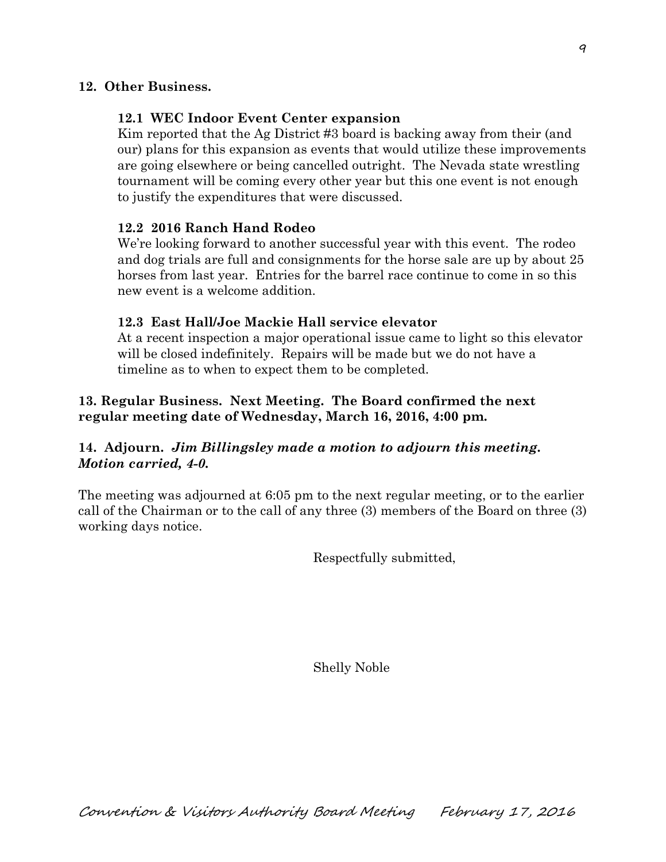#### **12. Other Business.**

#### **12.1 WEC Indoor Event Center expansion**

Kim reported that the Ag District #3 board is backing away from their (and our) plans for this expansion as events that would utilize these improvements are going elsewhere or being cancelled outright. The Nevada state wrestling tournament will be coming every other year but this one event is not enough to justify the expenditures that were discussed.

#### **12.2 2016 Ranch Hand Rodeo**

We're looking forward to another successful year with this event. The rodeo and dog trials are full and consignments for the horse sale are up by about 25 horses from last year. Entries for the barrel race continue to come in so this new event is a welcome addition.

#### **12.3 East Hall/Joe Mackie Hall service elevator**

At a recent inspection a major operational issue came to light so this elevator will be closed indefinitely. Repairs will be made but we do not have a timeline as to when to expect them to be completed.

### **13. Regular Business. Next Meeting. The Board confirmed the next regular meeting date of Wednesday, March 16, 2016, 4:00 pm.**

# **14. Adjourn.** *Jim Billingsley made a motion to adjourn this meeting. Motion carried, 4-0.*

The meeting was adjourned at 6:05 pm to the next regular meeting, or to the earlier call of the Chairman or to the call of any three (3) members of the Board on three (3) working days notice.

Respectfully submitted,

Shelly Noble